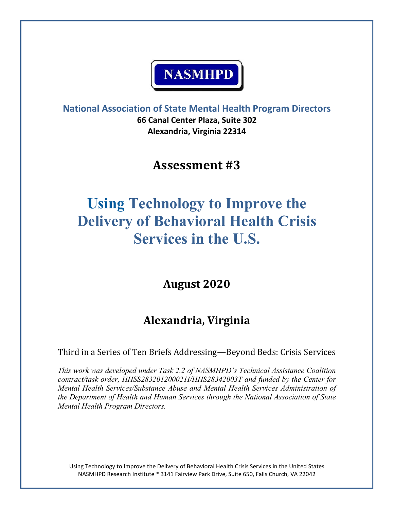# **NASMHPD**

**National Association of State Mental Health Program Directors 66 Canal Center Plaza, Suite 302 Alexandria, Virginia 22314**

**Assessment #3** 

## **Using Technology to Improve the Delivery of Behavioral Health Crisis Services in the U.S.**

**August 2020**

### **Alexandria, Virginia**

Third in a Series of Ten Briefs Addressing—Beyond Beds: Crisis Services

*This work was developed under Task 2.2 of NASMHPD's Technical Assistance Coalition contract/task order, HHSS283201200021I/HHS28342003T and funded by the Center for Mental Health Services/Substance Abuse and Mental Health Services Administration of the Department of Health and Human Services through the National Association of State Mental Health Program Directors.*

Using Technology to Improve the Delivery of Behavioral Health Crisis Services in the United States NASMHPD Research Institute \* 3141 Fairview Park Drive, Suite 650, Falls Church, VA 22042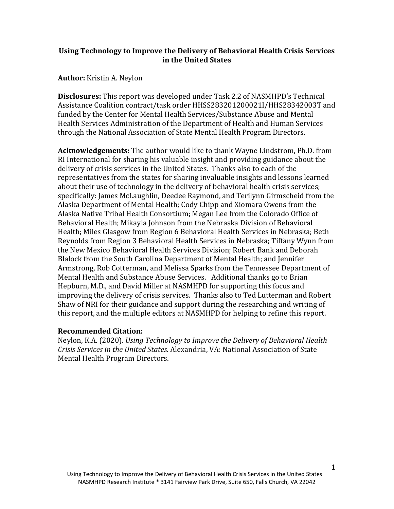#### **Using Technology to Improve the Delivery of Behavioral Health Crisis Services in the United States**

#### **Author:** Kristin A. Neylon

**Disclosures:** This report was developed under Task 2.2 of NASMHPD's Technical Assistance Coalition contract/task order HHSS283201200021I/HHS28342003T and funded by the Center for Mental Health Services/Substance Abuse and Mental Health Services Administration of the Department of Health and Human Services through the National Association of State Mental Health Program Directors.

**Acknowledgements:** The author would like to thank Wayne Lindstrom, Ph.D. from RI International for sharing his valuable insight and providing guidance about the delivery of crisis services in the United States. Thanks also to each of the representatives from the states for sharing invaluable insights and lessons learned about their use of technology in the delivery of behavioral health crisis services; specifically: James McLaughlin, Deedee Raymond, and Terilynn Girmscheid from the Alaska Department of Mental Health; Cody Chipp and Xiomara Owens from the Alaska Native Tribal Health Consortium; Megan Lee from the Colorado Office of Behavioral Health; Mikayla Johnson from the Nebraska Division of Behavioral Health; Miles Glasgow from Region 6 Behavioral Health Services in Nebraska; Beth Reynolds from Region 3 Behavioral Health Services in Nebraska; Tiffany Wynn from the New Mexico Behavioral Health Services Division; Robert Bank and Deborah Blalock from the South Carolina Department of Mental Health; and Jennifer Armstrong, Rob Cotterman, and Melissa Sparks from the Tennessee Department of Mental Health and Substance Abuse Services. Additional thanks go to Brian Hepburn, M.D., and David Miller at NASMHPD for supporting this focus and improving the delivery of crisis services. Thanks also to Ted Lutterman and Robert Shaw of NRI for their guidance and support during the researching and writing of this report, and the multiple editors at NASMHPD for helping to refine this report.

#### **Recommended Citation:**

Neylon, K.A. (2020). *Using Technology to Improve the Delivery of Behavioral Health Crisis Services in the United States.* Alexandria, VA: National Association of State Mental Health Program Directors.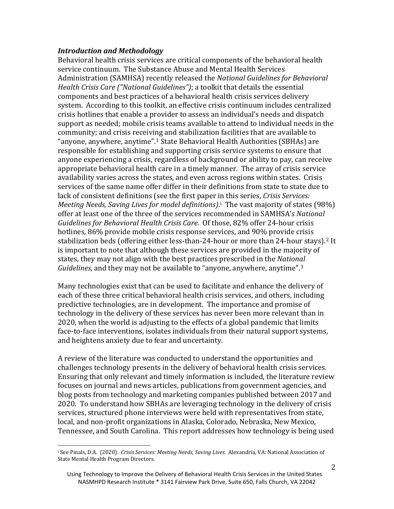#### *Introduction and Methodology*

Behavioral health crisis services are critical components of the behavioral health service continuum. The Substance Abuse and Mental Health Services Administration (SAMHSA) recently released the *National Guidelines for Behavioral Health Crisis Care ("National Guidelines")*; a toolkit that details the essential components and best practices of a behavioral health crisis services delivery system. According to this toolkit, an effective crisis continuum includes centralized crisis hotlines that enable a provider to assess an individual's needs and dispatch support as needed; mobile crisis teams available to attend to individual needs in the community; and crisis receiving and stabilization facilities that are available to "anyone, anywhere, anytime". [1](#page-19-0) State Behavioral Health Authorities (SBHAs) are responsible for establishing and supporting crisis service systems to ensure that anyone experiencing a crisis, regardless of background or ability to pay, can receive appropriate behavioral health care in a timely manner. The array of crisis service availability varies across the states, and even across regions within states. Crisis services of the same name offer differ in their definitions from state to state due to lack of consistent definitions (see the first paper in this series, *Crisis Services: Meeting Needs, Saving Lives for model definitions)*.[i](#page-2-0) The vast majority of states (98%) offer at least one of the three of the services recommended in SAMHSA's *National Guidelines for Behavioral Health Crisis Care.* Of those, 82% offer 24-hour crisis hotlines, 86% provide mobile crisis response services, and 90% provide crisis stabilization beds (offering either less-than-[2](#page-19-0)4-hour or more than 24-hour stays).<sup>2</sup> It is important to note that although these services are provided in the majority of states, they may not align with the best practices prescribed in the *National Guidelines,* and they may not be available to "anyone, anywhere, anytime".[3](#page-19-0)

Many technologies exist that can be used to facilitate and enhance the delivery of each of these three critical behavioral health crisis services, and others, including predictive technologies, are in development. The importance and promise of technology in the delivery of these services has never been more relevant than in 2020, when the world is adjusting to the effects of a global pandemic that limits face-to-face interventions, isolates individuals from their natural support systems, and heightens anxiety due to fear and uncertainty.

A review of the literature was conducted to understand the opportunities and challenges technology presents in the delivery of behavioral health crisis services. Ensuring that only relevant and timely information is included, the literature review focuses on journal and news articles, publications from government agencies, and blog posts from technology and marketing companies published between 2017 and 2020. To understand how SBHAs are leveraging technology in the delivery of crisis services, structured phone interviews were held with representatives from state, local, and non-profit organizations in Alaska, Colorado, Nebraska, New Mexico, Tennessee, and South Carolina. This report addresses how technology is being used

<span id="page-2-0"></span>j <sup>i</sup> See Pinals, D.A. (2020). *Crisis Services: Meeting Needs, Saving Lives.* Alexandria, VA: National Association of State Mental Health Program Directors.

Using Technology to Improve the Delivery of Behavioral Health Crisis Services in the United States NASMHPD Research Institute \* 3141 Fairview Park Drive, Suite 650, Falls Church, VA 22042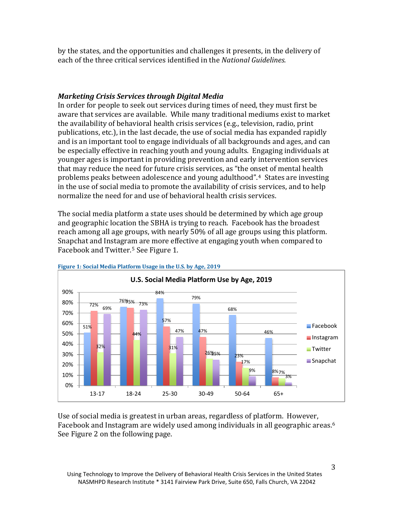by the states, and the opportunities and challenges it presents, in the delivery of each of the three critical services identified in the *National Guidelines.*

#### *Marketing Crisis Services through Digital Media*

In order for people to seek out services during times of need, they must first be aware that services are available. While many traditional mediums exist to market the availability of behavioral health crisis services (e.g., television, radio, print publications, etc.), in the last decade, the use of social media has expanded rapidly and is an important tool to engage individuals of all backgrounds and ages, and can be especially effective in reaching youth and young adults. Engaging individuals at younger ages is important in providing prevention and early intervention services that may reduce the need for future crisis services, as "the onset of mental health problems peaks between adolescence and young adulthood".[4](#page-19-0) States are investing in the use of social media to promote the availability of crisis services, and to help normalize the need for and use of behavioral health crisis services.

The social media platform a state uses should be determined by which age group and geographic location the SBHA is trying to reach. Facebook has the broadest reach among all age groups, with nearly 50% of all age groups using this platform. Snapchat and Instagram are more effective at engaging youth when compared to Facebook and Twitter. [5](#page-19-0) See Figure 1.



**Figure 1: Social Media Platform Usage in the U.S. by Age, 2019**

Use of social media is greatest in urban areas, regardless of platform. However, Facebook and Instagram are widely used among individuals in all geographic areas.<sup>[6](#page-19-0)</sup> See Figure 2 on the following page.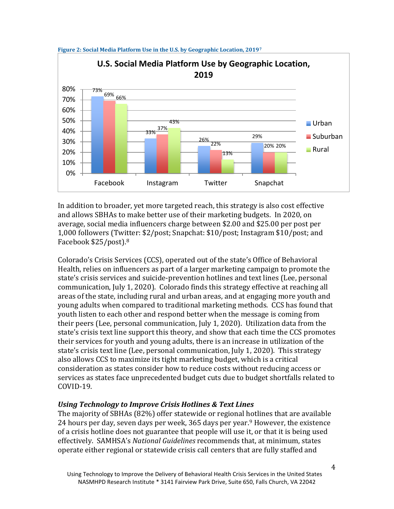

**Figure 2: Social Media Platform Use in the U.S. by Geographic Location, 2019[7](#page-19-0)**

In addition to broader, yet more targeted reach, this strategy is also cost effective and allows SBHAs to make better use of their marketing budgets. In 2020, on average, social media influencers charge between \$2.00 and \$25.00 per post per 1,000 followers (Twitter: \$2/post; Snapchat: \$10/post; Instagram \$10/post; and Facebook \$25/post).[8](#page-19-0)

Colorado's Crisis Services (CCS), operated out of the state's Office of Behavioral Health, relies on influencers as part of a larger marketing campaign to promote the state's crisis services and suicide-prevention hotlines and text lines (Lee, personal communication, July 1, 2020). Colorado finds this strategy effective at reaching all areas of the state, including rural and urban areas, and at engaging more youth and young adults when compared to traditional marketing methods. CCS has found that youth listen to each other and respond better when the message is coming from their peers (Lee, personal communication, July 1, 2020). Utilization data from the state's crisis text line support this theory, and show that each time the CCS promotes their services for youth and young adults, there is an increase in utilization of the state's crisis text line (Lee, personal communication, July 1, 2020). This strategy also allows CCS to maximize its tight marketing budget, which is a critical consideration as states consider how to reduce costs without reducing access or services as states face unprecedented budget cuts due to budget shortfalls related to COVID-19.

#### *Using Technology to Improve Crisis Hotlines & Text Lines*

The majority of SBHAs (82%) offer statewide or regional hotlines that are available 24 hours per day, seven days per week, 365 days per year.<sup>[9](#page-19-0)</sup> However, the existence of a crisis hotline does not guarantee that people will use it, or that it is being used effectively. SAMHSA's *National Guidelines* recommends that, at minimum, states operate either regional or statewide crisis call centers that are fully staffed and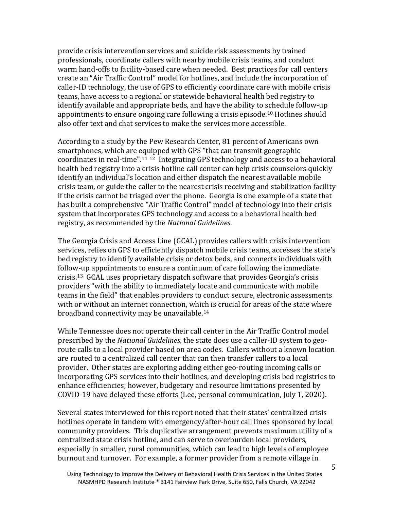provide crisis intervention services and suicide risk assessments by trained professionals, coordinate callers with nearby mobile crisis teams, and conduct warm hand-offs to facility-based care when needed. Best practices for call centers create an "Air Traffic Control" model for hotlines, and include the incorporation of caller-ID technology, the use of GPS to efficiently coordinate care with mobile crisis teams, have access to a regional or statewide behavioral health bed registry to identify available and appropriate beds, and have the ability to schedule follow-up appointments to ensure ongoing care following a crisis episode.[10](#page-19-0) Hotlines should also offer text and chat services to make the services more accessible.

According to a study by the Pew Research Center, 81 percent of Americans own smartphones, which are equipped with GPS "that can transmit geographic coordinates in real-time".[11](#page-19-0) [12](#page-19-0) Integrating GPS technology and access to a behavioral health bed registry into a crisis hotline call center can help crisis counselors quickly identify an individual's location and either dispatch the nearest available mobile crisis team, or guide the caller to the nearest crisis receiving and stabilization facility if the crisis cannot be triaged over the phone. Georgia is one example of a state that has built a comprehensive "Air Traffic Control" model of technology into their crisis system that incorporates GPS technology and access to a behavioral health bed registry, as recommended by the *National Guidelines*.

The Georgia Crisis and Access Line (GCAL) provides callers with crisis intervention services, relies on GPS to efficiently dispatch mobile crisis teams, accesses the state's bed registry to identify available crisis or detox beds, and connects individuals with follow-up appointments to ensure a continuum of care following the immediate crisis.[13](#page-19-0) GCAL uses proprietary dispatch software that provides Georgia's crisis providers "with the ability to immediately locate and communicate with mobile teams in the field" that enables providers to conduct secure, electronic assessments with or without an internet connection, which is crucial for areas of the state where broadband connectivity may be unavailable. [14](#page-19-0)

While Tennessee does not operate their call center in the Air Traffic Control model prescribed by the *National Guidelines,* the state does use a caller-ID system to georoute calls to a local provider based on area codes. Callers without a known location are routed to a centralized call center that can then transfer callers to a local provider. Other states are exploring adding either geo-routing incoming calls or incorporating GPS services into their hotlines, and developing crisis bed registries to enhance efficiencies; however, budgetary and resource limitations presented by COVID-19 have delayed these efforts (Lee, personal communication, July 1, 2020).

Several states interviewed for this report noted that their states' centralized crisis hotlines operate in tandem with emergency/after-hour call lines sponsored by local community providers. This duplicative arrangement prevents maximum utility of a centralized state crisis hotline, and can serve to overburden local providers, especially in smaller, rural communities, which can lead to high levels of employee burnout and turnover. For example, a former provider from a remote village in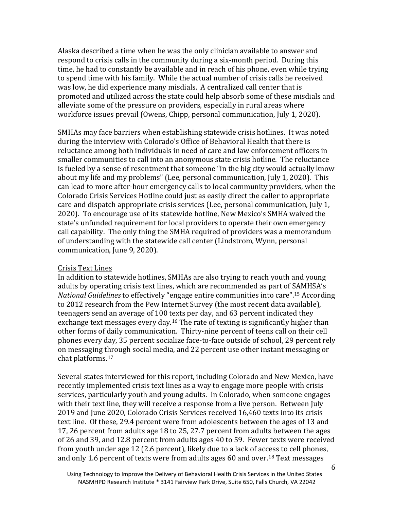Alaska described a time when he was the only clinician available to answer and respond to crisis calls in the community during a six-month period. During this time, he had to constantly be available and in reach of his phone, even while trying to spend time with his family. While the actual number of crisis calls he received was low, he did experience many misdials. A centralized call center that is promoted and utilized across the state could help absorb some of these misdials and alleviate some of the pressure on providers, especially in rural areas where workforce issues prevail (Owens, Chipp, personal communication, July 1, 2020).

SMHAs may face barriers when establishing statewide crisis hotlines. It was noted during the interview with Colorado's Office of Behavioral Health that there is reluctance among both individuals in need of care and law enforcement officers in smaller communities to call into an anonymous state crisis hotline. The reluctance is fueled by a sense of resentment that someone "in the big city would actually know about my life and my problems" (Lee, personal communication, July 1, 2020). This can lead to more after-hour emergency calls to local community providers, when the Colorado Crisis Services Hotline could just as easily direct the caller to appropriate care and dispatch appropriate crisis services (Lee, personal communication, July 1, 2020). To encourage use of its statewide hotline, New Mexico's SMHA waived the state's unfunded requirement for local providers to operate their own emergency call capability. The only thing the SMHA required of providers was a memorandum of understanding with the statewide call center (Lindstrom, Wynn, personal communication, June 9, 2020).

#### Crisis Text Lines

In addition to statewide hotlines, SMHAs are also trying to reach youth and young adults by operating crisis text lines, which are recommended as part of SAMHSA's *National Guidelines* to effectively "engage entire communities into care".[15](#page-19-0) According to 2012 research from the Pew Internet Survey (the most recent data available), teenagers send an average of 100 texts per day, and 63 percent indicated they exchange text messages every day.[16](#page-19-0) The rate of texting is significantly higher than other forms of daily communication. Thirty-nine percent of teens call on their cell phones every day, 35 percent socialize face-to-face outside of school, 29 percent rely on messaging through social media, and 22 percent use other instant messaging or chat platforms.[17](#page-20-0)

Several states interviewed for this report, including Colorado and New Mexico, have recently implemented crisis text lines as a way to engage more people with crisis services, particularly youth and young adults. In Colorado, when someone engages with their text line, they will receive a response from a live person. Between July 2019 and June 2020, Colorado Crisis Services received 16,460 texts into its crisis text line. Of these, 29.4 percent were from adolescents between the ages of 13 and 17, 26 percent from adults age 18 to 25, 27.7 percent from adults between the ages of 26 and 39, and 12.8 percent from adults ages 40 to 59. Fewer texts were received from youth under age 12 (2.6 percent), likely due to a lack of access to cell phones, and only 1.6 percent of texts were from adults ages 60 and over.<sup>[18](#page-20-0)</sup> Text messages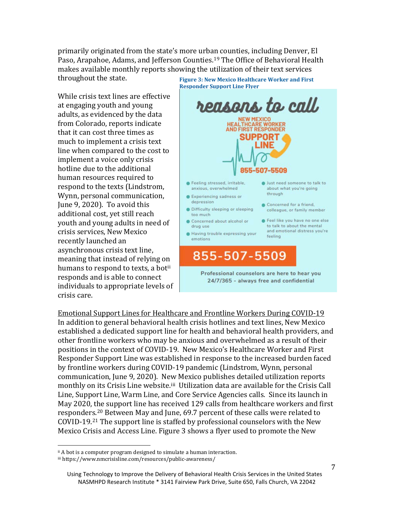primarily originated from the state's more urban counties, including Denver, El Paso, Arapahoe, Adams, and Jefferson Counties.[19](#page-20-0) The Office of Behavioral Health makes available monthly reports showing the utilization of their text services

throughout the state.

While crisis text lines are effective at engaging youth and young adults, as evidenced by the data from Colorado, reports indicate that it can cost three times as much to implement a crisis text line when compared to the cost to implement a voice only crisis hotline due to the additional human resources required to respond to the texts (Lindstrom, Wynn, personal communication, June 9, 2020). To avoid this additional cost, yet still reach youth and young adults in need of crisis services, New Mexico recently launched an asynchronous crisis text line, meaning that instead of relying on humans to respond to texts, a bot<sup>[ii](#page-7-0)</sup> responds and is able to connect individuals to appropriate levels of crisis care.

reasons to call **NEW MEXICO HEALTHCARE WORKER AND FIRST RESPONDER SUPPORT** 07-5509 · Feeling stressed, irritable, · Just need someone to talk to anxious, overwhelmed about what you're going through **C** Experiencing sadness or depression Concerned for a friend, · Difficulty sleeping or sleeping colleague, or family member too much Concerned about alcohol or Feel like you have no one else to talk to about the mental drug use and emotional distress you're Having trouble expressing your feeling emotions 855-507-5509 Professional counselors are here to hear you 24/7/365 - always free and confidential

Emotional Support Lines for Healthcare and Frontline Workers During COVID-19 In addition to general behavioral health crisis hotlines and text lines, New Mexico established a dedicated support line for health and behavioral health providers, and other frontline workers who may be anxious and overwhelmed as a result of their positions in the context of COVID-19. New Mexico's Healthcare Worker and First Responder Support Line was established in response to the increased burden faced by frontline workers during COVID-19 pandemic (Lindstrom, Wynn, personal communication, June 9, 2020). New Mexico publishes detailed utilization reports monthly on its Crisis Line website.<sup>iii</sup> Utilization data are available for the Crisis Call Line, Support Line, Warm Line, and Core Service Agencies calls. Since its launch in May 2020, the support line has received 129 calls from healthcare workers and first responders.[20](#page-20-0) Between May and June, 69.7 percent of these calls were related to COVID-19.[21](#page-20-0) The support line is staffed by professional counselors with the New Mexico Crisis and Access Line. Figure 3 shows a flyer used to promote the New

#### Using Technology to Improve the Delivery of Behavioral Health Crisis Services in the United States NASMHPD Research Institute \* 3141 Fairview Park Drive, Suite 650, Falls Church, VA 22042

 $\overline{\phantom{a}}$  $\scriptstyle\rm II$  A bot is a computer program designed to simulate a human interaction.

<span id="page-7-1"></span><span id="page-7-0"></span>iii <https://www.nmcrisisline.com/resources/public-awareness/>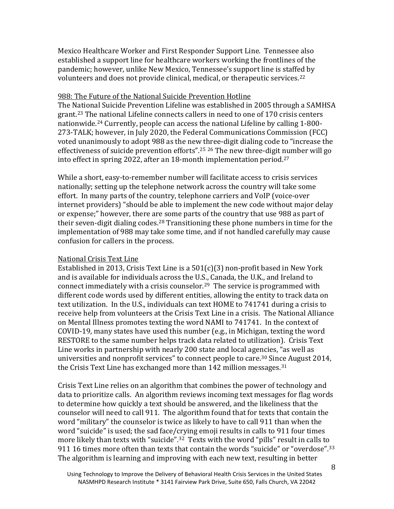Mexico Healthcare Worker and First Responder Support Line. Tennessee also established a support line for healthcare workers working the frontlines of the pandemic; however, unlike New Mexico, Tennessee's support line is staffed by volunteers and does not provide clinical, medical, or therapeutic services.<sup>[22](#page-20-0)</sup>

#### 988: The Future of the National Suicide Prevention Hotline

The National Suicide Prevention Lifeline was established in 2005 through a SAMHSA grant.[23](#page-20-0) The national Lifeline connects callers in need to one of 170 crisis centers nationwide.[24](#page-20-0) Currently, people can access the national Lifeline by calling 1-800- 273-TALK; however, in July 2020, the Federal Communications Commission (FCC) voted unanimously to adopt 988 as the new three-digit dialing code to "increase the effectiveness of suicide prevention efforts".[25](#page-20-0) [26](#page-20-0) The new three-digit number will go into effect in spring 2022, after an 18-month implementation period.[27](#page-20-0)

While a short, easy-to-remember number will facilitate access to crisis services nationally; setting up the telephone network across the country will take some effort. In many parts of the country, telephone carriers and VoIP (voice-over internet providers) "should be able to implement the new code without major delay or expense;" however, there are some parts of the country that use 988 as part of their seven-digit dialing codes.<sup>[28](#page-20-0)</sup> Transitioning these phone numbers in time for the implementation of 988 may take some time, and if not handled carefully may cause confusion for callers in the process.

#### National Crisis Text Line

Established in 2013, Crisis Text Line is a 501(c)(3) non-profit based in New York and is available for individuals across the U.S., Canada, the U.K., and Ireland to connect immediately with a crisis counselor.[29](#page-20-0) The service is programmed with different code words used by different entities, allowing the entity to track data on text utilization. In the U.S., individuals can text HOME to 741741 during a crisis to receive help from volunteers at the Crisis Text Line in a crisis. The National Alliance on Mental Illness promotes texting the word NAMI to 741741. In the context of COVID-19, many states have used this number (e.g., in Michigan, texting the word RESTORE to the same number helps track data related to utilization). Crisis Text Line works in partnership with nearly 200 state and local agencies, "as well as universities and nonprofit services" to connect people to care[.30](#page-20-0) Since August 2014, the Crisis Text Line has exchanged more than 142 million messages.<sup>[31](#page-20-0)</sup>

Crisis Text Line relies on an algorithm that combines the power of technology and data to prioritize calls. An algorithm reviews incoming text messages for flag words to determine how quickly a text should be answered, and the likeliness that the counselor will need to call 911. The algorithm found that for texts that contain the word "military" the counselor is twice as likely to have to call 911 than when the word "suicide" is used; the sad face/crying emoji results in calls to 911 four times more likely than texts with "suicide".<sup>[32](#page-20-0)</sup> Texts with the word "pills" result in calls to 911 16 times more often than texts that contain the words "suicide" or "overdose".[33](#page-21-0) The algorithm is learning and improving with each new text, resulting in better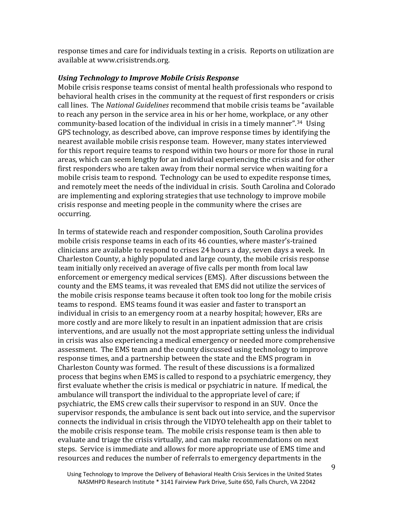response times and care for individuals texting in a crisis. Reports on utilization are available at www.crisistrends.org.

#### *Using Technology to Improve Mobile Crisis Response*

Mobile crisis response teams consist of mental health professionals who respond to behavioral health crises in the community at the request of first responders or crisis call lines. The *National Guidelines* recommend that mobile crisis teams be "available to reach any person in the service area in his or her home, workplace, or any other community-based location of the individual in crisis in a timely manner".[34](#page-21-0) Using GPS technology, as described above, can improve response times by identifying the nearest available mobile crisis response team. However, many states interviewed for this report require teams to respond within two hours or more for those in rural areas, which can seem lengthy for an individual experiencing the crisis and for other first responders who are taken away from their normal service when waiting for a mobile crisis team to respond. Technology can be used to expedite response times, and remotely meet the needs of the individual in crisis. South Carolina and Colorado are implementing and exploring strategies that use technology to improve mobile crisis response and meeting people in the community where the crises are occurring.

In terms of statewide reach and responder composition, South Carolina provides mobile crisis response teams in each of its 46 counties, where master's-trained clinicians are available to respond to crises 24 hours a day, seven days a week. In Charleston County, a highly populated and large county, the mobile crisis response team initially only received an average of five calls per month from local law enforcement or emergency medical services (EMS). After discussions between the county and the EMS teams, it was revealed that EMS did not utilize the services of the mobile crisis response teams because it often took too long for the mobile crisis teams to respond. EMS teams found it was easier and faster to transport an individual in crisis to an emergency room at a nearby hospital; however, ERs are more costly and are more likely to result in an inpatient admission that are crisis interventions, and are usually not the most appropriate setting unless the individual in crisis was also experiencing a medical emergency or needed more comprehensive assessment. The EMS team and the county discussed using technology to improve response times, and a partnership between the state and the EMS program in Charleston County was formed. The result of these discussions is a formalized process that begins when EMS is called to respond to a psychiatric emergency, they first evaluate whether the crisis is medical or psychiatric in nature. If medical, the ambulance will transport the individual to the appropriate level of care; if psychiatric, the EMS crew calls their supervisor to respond in an SUV. Once the supervisor responds, the ambulance is sent back out into service, and the supervisor connects the individual in crisis through the VIDYO telehealth app on their tablet to the mobile crisis response team. The mobile crisis response team is then able to evaluate and triage the crisis virtually, and can make recommendations on next steps. Service is immediate and allows for more appropriate use of EMS time and resources and reduces the number of referrals to emergency departments in the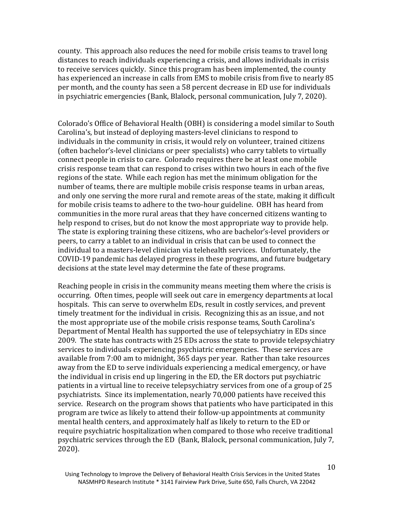county. This approach also reduces the need for mobile crisis teams to travel long distances to reach individuals experiencing a crisis, and allows individuals in crisis to receive services quickly. Since this program has been implemented, the county has experienced an increase in calls from EMS to mobile crisis from five to nearly 85 per month, and the county has seen a 58 percent decrease in ED use for individuals in psychiatric emergencies (Bank, Blalock, personal communication, July 7, 2020).

Colorado's Office of Behavioral Health (OBH) is considering a model similar to South Carolina's, but instead of deploying masters-level clinicians to respond to individuals in the community in crisis, it would rely on volunteer, trained citizens (often bachelor's-level clinicians or peer specialists) who carry tablets to virtually connect people in crisis to care. Colorado requires there be at least one mobile crisis response team that can respond to crises within two hours in each of the five regions of the state. While each region has met the minimum obligation for the number of teams, there are multiple mobile crisis response teams in urban areas, and only one serving the more rural and remote areas of the state, making it difficult for mobile crisis teams to adhere to the two-hour guideline. OBH has heard from communities in the more rural areas that they have concerned citizens wanting to help respond to crises, but do not know the most appropriate way to provide help. The state is exploring training these citizens, who are bachelor's-level providers or peers, to carry a tablet to an individual in crisis that can be used to connect the individual to a masters-level clinician via telehealth services. Unfortunately, the COVID-19 pandemic has delayed progress in these programs, and future budgetary decisions at the state level may determine the fate of these programs.

Reaching people in crisis in the community means meeting them where the crisis is occurring. Often times, people will seek out care in emergency departments at local hospitals. This can serve to overwhelm EDs, result in costly services, and prevent timely treatment for the individual in crisis. Recognizing this as an issue, and not the most appropriate use of the mobile crisis response teams, South Carolina's Department of Mental Health has supported the use of telepsychiatry in EDs since 2009. The state has contracts with 25 EDs across the state to provide telepsychiatry services to individuals experiencing psychiatric emergencies. These services are available from 7:00 am to midnight, 365 days per year. Rather than take resources away from the ED to serve individuals experiencing a medical emergency, or have the individual in crisis end up lingering in the ED, the ER doctors put psychiatric patients in a virtual line to receive telepsychiatry services from one of a group of 25 psychiatrists. Since its implementation, nearly 70,000 patients have received this service. Research on the program shows that patients who have participated in this program are twice as likely to attend their follow-up appointments at community mental health centers, and approximately half as likely to return to the ED or require psychiatric hospitalization when compared to those who receive traditional psychiatric services through the ED (Bank, Blalock, personal communication, July 7, 2020).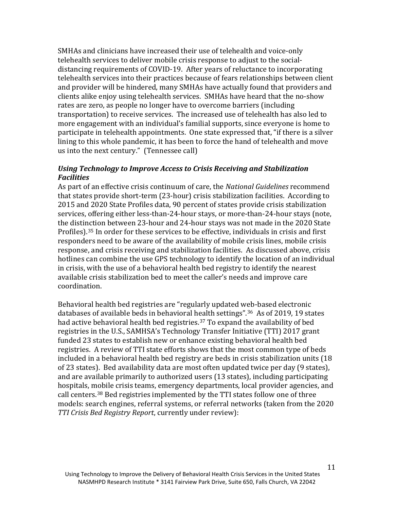SMHAs and clinicians have increased their use of telehealth and voice-only telehealth services to deliver mobile crisis response to adjust to the socialdistancing requirements of COVID-19. After years of reluctance to incorporating telehealth services into their practices because of fears relationships between client and provider will be hindered, many SMHAs have actually found that providers and clients alike enjoy using telehealth services. SMHAs have heard that the no-show rates are zero, as people no longer have to overcome barriers (including transportation) to receive services. The increased use of telehealth has also led to more engagement with an individual's familial supports, since everyone is home to participate in telehealth appointments. One state expressed that, "if there is a silver lining to this whole pandemic, it has been to force the hand of telehealth and move us into the next century." (Tennessee call)

#### *Using Technology to Improve Access to Crisis Receiving and Stabilization Facilities*

As part of an effective crisis continuum of care, the *National Guidelines* recommend that states provide short-term (23-hour) crisis stabilization facilities. According to 2015 and 2020 State Profiles data, 90 percent of states provide crisis stabilization services, offering either less-than-24-hour stays, or more-than-24-hour stays (note, the distinction between 23-hour and 24-hour stays was not made in the 2020 State Profiles).[35](#page-21-0) In order for these services to be effective, individuals in crisis and first responders need to be aware of the availability of mobile crisis lines, mobile crisis response, and crisis receiving and stabilization facilities. As discussed above, crisis hotlines can combine the use GPS technology to identify the location of an individual in crisis, with the use of a behavioral health bed registry to identify the nearest available crisis stabilization bed to meet the caller's needs and improve care coordination.

Behavioral health bed registries are "regularly updated web-based electronic databases of available beds in behavioral health settings"[.36](#page-21-0) As of 2019, 19 states had active behavioral health bed registries.<sup>[37](#page-21-0)</sup> To expand the availability of bed registries in the U.S., SAMHSA's Technology Transfer Initiative (TTI) 2017 grant funded 23 states to establish new or enhance existing behavioral health bed registries. A review of TTI state efforts shows that the most common type of beds included in a behavioral health bed registry are beds in crisis stabilization units (18 of 23 states). Bed availability data are most often updated twice per day (9 states), and are available primarily to authorized users (13 states), including participating hospitals, mobile crisis teams, emergency departments, local provider agencies, and call centers.[38](#page-21-0) Bed registries implemented by the TTI states follow one of three models: search engines, referral systems, or referral networks (taken from the 2020 *TTI Crisis Bed Registry Report*, currently under review):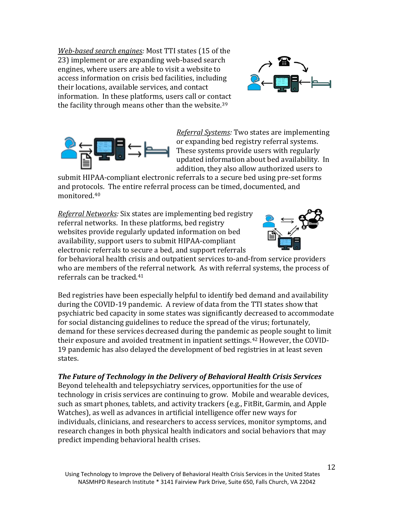*Web-based search engines:* Most TTI states (15 of the 23) implement or are expanding web-based search engines, where users are able to visit a website to access information on crisis bed facilities, including their locations, available services, and contact information. In these platforms, users call or contact the facility through means other than the website.<sup>[39](#page-21-0)</sup>





*Referral Systems:* Two states are implementing or expanding bed registry referral systems. These systems provide users with regularly updated information about bed availability. In addition, they also allow authorized users to

submit HIPAA-compliant electronic referrals to a secure bed using pre-set forms and protocols. The entire referral process can be timed, documented, and monitored.[40](#page-21-0)

*Referral Networks:* Six states are implementing bed registry referral networks. In these platforms, bed registry websites provide regularly updated information on bed availability, support users to submit HIPAA-compliant electronic referrals to secure a bed, and support referrals



for behavioral health crisis and outpatient services to-and-from service providers who are members of the referral network. As with referral systems, the process of referrals can be tracked.[41](#page-21-0)

Bed registries have been especially helpful to identify bed demand and availability during the COVID-19 pandemic. A review of data from the TTI states show that psychiatric bed capacity in some states was significantly decreased to accommodate for social distancing guidelines to reduce the spread of the virus; fortunately, demand for these services decreased during the pandemic as people sought to limit their exposure and avoided treatment in inpatient settings.<sup>[42](#page-21-0)</sup> However, the COVID-19 pandemic has also delayed the development of bed registries in at least seven states.

*The Future of Technology in the Delivery of Behavioral Health Crisis Services*  Beyond telehealth and telepsychiatry services, opportunities for the use of technology in crisis services are continuing to grow. Mobile and wearable devices, such as smart phones, tablets, and activity trackers (e.g., FitBit, Garmin, and Apple Watches), as well as advances in artificial intelligence offer new ways for individuals, clinicians, and researchers to access services, monitor symptoms, and research changes in both physical health indicators and social behaviors that may predict impending behavioral health crises.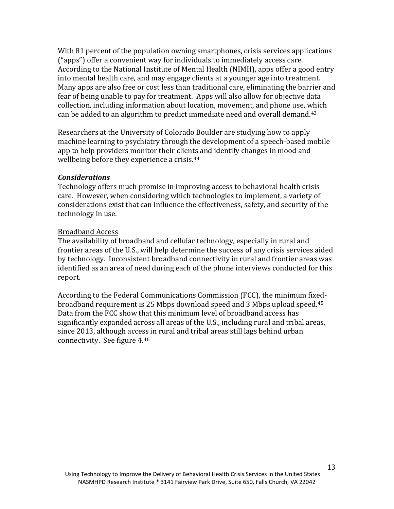With 81 percent of the population owning smartphones, crisis services applications ("apps") offer a convenient way for individuals to immediately access care. According to the National Institute of Mental Health (NIMH), apps offer a good entry into mental health care, and may engage clients at a younger age into treatment. Many apps are also free or cost less than traditional care, eliminating the barrier and fear of being unable to pay for treatment. Apps will also allow for objective data collection, including information about location, movement, and phone use, which can be added to an algorithm to predict immediate need and overall demand.[43](#page-21-0)

Researchers at the University of Colorado Boulder are studying how to apply machine learning to psychiatry through the development of a speech-based mobile app to help providers monitor their clients and identify changes in mood and wellbeing before they experience a crisis.[44](#page-21-0)

#### *Considerations*

Technology offers much promise in improving access to behavioral health crisis care. However, when considering which technologies to implement, a variety of considerations exist that can influence the effectiveness, safety, and security of the technology in use.

#### Broadband Access

The availability of broadband and cellular technology, especially in rural and frontier areas of the U.S., will help determine the success of any crisis services aided by technology. Inconsistent broadband connectivity in rural and frontier areas was identified as an area of need during each of the phone interviews conducted for this report.

According to the Federal Communications Commission (FCC), the minimum fixedbroadband requirement is 25 Mbps download speed and 3 Mbps upload speed.[45](#page-21-0) Data from the FCC show that this minimum level of broadband access has significantly expanded across all areas of the U.S., including rural and tribal areas, since 2013, although access in rural and tribal areas still lags behind urban connectivity. See figure 4.[46](#page-21-0)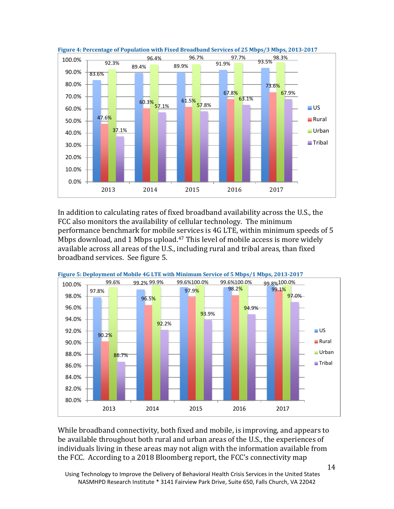



In addition to calculating rates of fixed broadband availability across the U.S., the FCC also monitors the availability of cellular technology. The minimum performance benchmark for mobile services is 4G LTE, within minimum speeds of 5 Mbps download, and 1 Mbps upload.<sup>47</sup> This level of mobile access is more widely available across all areas of the U.S., including rural and tribal areas, than fixed broadband services. See figure 5.



**Figure 5: Deployment of Mobile 4G LTE with Minimum Service of 5 Mbps/1 Mbps, 2013-2017**

While broadband connectivity, both fixed and mobile, is improving, and appears to be available throughout both rural and urban areas of the U.S., the experiences of individuals living in these areas may not align with the information available from the FCC. According to a 2018 Bloomberg report, the FCC's connectivity map

Using Technology to Improve the Delivery of Behavioral Health Crisis Services in the United States NASMHPD Research Institute \* 3141 Fairview Park Drive, Suite 650, Falls Church, VA 22042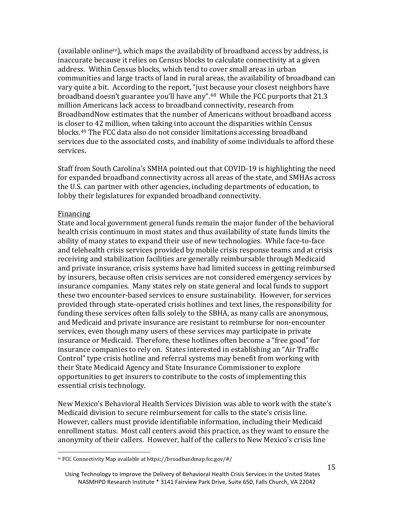(available online[iv](#page-15-0)), which maps the availability of broadband access by address, is inaccurate because it relies on Census blocks to calculate connectivity at a given address. Within Census blocks, which tend to cover small areas in urban communities and large tracts of land in rural areas, the availability of broadband can vary quite a bit. According to the report, "just because your closest neighbors have broadband doesn't guarantee you'll have any".<sup>[48](#page-21-0)</sup> While the FCC purports that 21.3 million Americans lack access to broadband connectivity, research from BroadbandNow estimates that the number of Americans without broadband access is closer to 42 million, when taking into account the disparities within Census blocks.[49](#page-22-0) The FCC data also do not consider limitations accessing broadband services due to the associated costs, and inability of some individuals to afford these services.

Staff from South Carolina's SMHA pointed out that COVID-19 is highlighting the need for expanded broadband connectivity across all areas of the state, and SMHAs across the U.S. can partner with other agencies, including departments of education, to lobby their legislatures for expanded broadband connectivity.

#### Financing

State and local government general funds remain the major funder of the behavioral health crisis continuum in most states and thus availability of state funds limits the ability of many states to expand their use of new technologies. While face-to-face and telehealth crisis services provided by mobile crisis response teams and at crisis receiving and stabilization facilities are generally reimbursable through Medicaid and private insurance, crisis systems have had limited success in getting reimbursed by insurers, because often crisis services are not considered emergency services by insurance companies. Many states rely on state general and local funds to support these two encounter-based services to ensure sustainability. However, for services provided through state-operated crisis hotlines and text lines, the responsibility for funding these services often falls solely to the SBHA, as many calls are anonymous, and Medicaid and private insurance are resistant to reimburse for non-encounter services, even though many users of these services may participate in private insurance or Medicaid. Therefore, these hotlines often become a "free good" for insurance companies to rely on. States interested in establishing an "Air Traffic Control" type crisis hotline and referral systems may benefit from working with their State Medicaid Agency and State Insurance Commissioner to explore opportunities to get insurers to contribute to the costs of implementing this essential crisis technology.

New Mexico's Behavioral Health Services Division was able to work with the state's Medicaid division to secure reimbursement for calls to the state's crisis line. However, callers must provide identifiable information, including their Medicaid enrollment status. Most call centers avoid this practice, as they want to ensure the anonymity of their callers. However, half of the callers to New Mexico's crisis line

<span id="page-15-0"></span>j iv FCC Connectivity Map available at<https://broadbandmap.fcc.gov/#/>

Using Technology to Improve the Delivery of Behavioral Health Crisis Services in the United States NASMHPD Research Institute \* 3141 Fairview Park Drive, Suite 650, Falls Church, VA 22042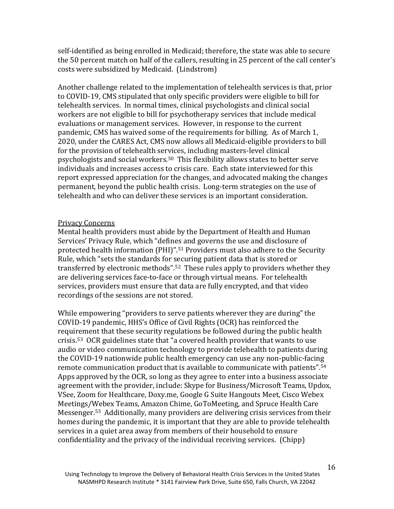self-identified as being enrolled in Medicaid; therefore, the state was able to secure the 50 percent match on half of the callers, resulting in 25 percent of the call center's costs were subsidized by Medicaid. (Lindstrom)

Another challenge related to the implementation of telehealth services is that, prior to COVID-19, CMS stipulated that only specific providers were eligible to bill for telehealth services. In normal times, clinical psychologists and clinical social workers are not eligible to bill for psychotherapy services that include medical evaluations or management services. However, in response to the current pandemic, CMS has waived some of the requirements for billing. As of March 1, 2020, under the CARES Act, CMS now allows all Medicaid-eligible providers to bill for the provision of telehealth services, including masters-level clinical psychologists and social workers.[50](#page-22-0) This flexibility allows states to better serve individuals and increases access to crisis care. Each state interviewed for this report expressed appreciation for the changes, and advocated making the changes permanent, beyond the public health crisis. Long-term strategies on the use of telehealth and who can deliver these services is an important consideration.

#### Privacy Concerns

Mental health providers must abide by the Department of Health and Human Services' Privacy Rule, which "defines and governs the use and disclosure of protected health information (PHI)".[51](#page-22-0) Providers must also adhere to the Security Rule, which "sets the standards for securing patient data that is stored or transferred by electronic methods".[52](#page-22-0) These rules apply to providers whether they are delivering services face-to-face or through virtual means. For telehealth services, providers must ensure that data are fully encrypted, and that video recordings of the sessions are not stored.

While empowering "providers to serve patients wherever they are during" the COVID-19 pandemic, HHS's Office of Civil Rights (OCR) has reinforced the requirement that these security regulations be followed during the public health crisis.[53](#page-23-0) OCR guidelines state that "a covered health provider that wants to use audio or video communication technology to provide telehealth to patients during the COVID-19 nationwide public health emergency can use any non-public-facing remote communication product that is available to communicate with patients".[54](#page-22-0)  Apps approved by the OCR, so long as they agree to enter into a business associate agreement with the provider, include: Skype for Business/Microsoft Teams, Updox, VSee, Zoom for Healthcare, Doxy.me, Google G Suite Hangouts Meet, Cisco Webex Meetings/Webex Teams, Amazon Chime, GoToMeeting, and Spruce Health Care Messenger.[55](#page-22-0) Additionally, many providers are delivering crisis services from their homes during the pandemic, it is important that they are able to provide telehealth services in a quiet area away from members of their household to ensure confidentiality and the privacy of the individual receiving services. (Chipp)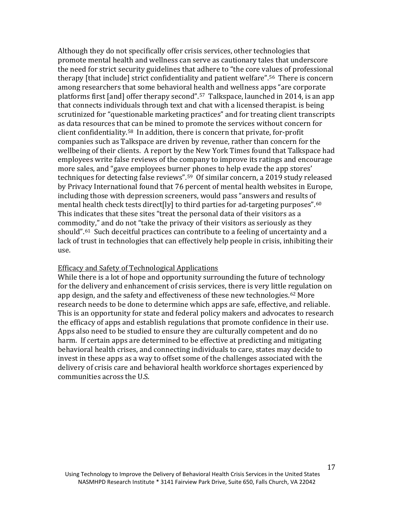Although they do not specifically offer crisis services, other technologies that promote mental health and wellness can serve as cautionary tales that underscore the need for strict security guidelines that adhere to "the core values of professional therapy [that include] strict confidentiality and patient welfare".[56](#page-22-0) There is concern among researchers that some behavioral health and wellness apps "are corporate platforms first [and] offer therapy second".[57](#page-22-0) Talkspace, launched in 2014, is an app that connects individuals through text and chat with a licensed therapist. is being scrutinized for "questionable marketing practices" and for treating client transcripts as data resources that can be mined to promote the services without concern for client confidentiality.[58](#page-22-0) In addition, there is concern that private, for-profit companies such as Talkspace are driven by revenue, rather than concern for the wellbeing of their clients. A report by the New York Times found that Talkspace had employees write false reviews of the company to improve its ratings and encourage more sales, and "gave employees burner phones to help evade the app stores' techniques for detecting false reviews".[59](#page-22-0) Of similar concern, a 2019 study released by Privacy International found that 76 percent of mental health websites in Europe, including those with depression screeners, would pass "answers and results of mental health check tests direct[ly] to third parties for ad-targeting purposes".<sup>60</sup> This indicates that these sites "treat the personal data of their visitors as a commodity," and do not "take the privacy of their visitors as seriously as they should".<sup>[61](#page-23-1)</sup> Such deceitful practices can contribute to a feeling of uncertainty and a lack of trust in technologies that can effectively help people in crisis, inhibiting their use.

#### Efficacy and Safety of Technological Applications

While there is a lot of hope and opportunity surrounding the future of technology for the delivery and enhancement of crisis services, there is very little regulation on app design, and the safety and effectiveness of these new technologies.<sup>[62](#page-23-2)</sup> More research needs to be done to determine which apps are safe, effective, and reliable. This is an opportunity for state and federal policy makers and advocates to research the efficacy of apps and establish regulations that promote confidence in their use. Apps also need to be studied to ensure they are culturally competent and do no harm. If certain apps are determined to be effective at predicting and mitigating behavioral health crises, and connecting individuals to care, states may decide to invest in these apps as a way to offset some of the challenges associated with the delivery of crisis care and behavioral health workforce shortages experienced by communities across the U.S.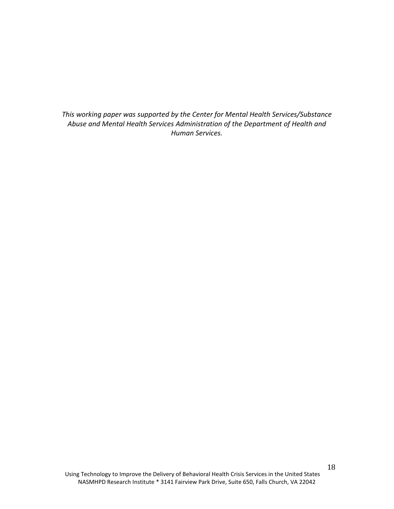*This working paper was supported by the Center for Mental Health Services/Substance Abuse and Mental Health Services Administration of the Department of Health and Human Services.*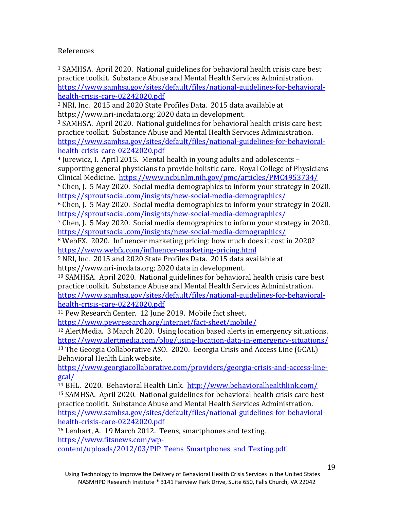#### <span id="page-19-0"></span>References

<sup>1</sup> SAMHSA. April 2020. National guidelines for behavioral health crisis care best practice toolkit. Substance Abuse and Mental Health Services Administration. [https://www.samhsa.gov/sites/default/files/national-guidelines-for-behavioral](https://www.samhsa.gov/sites/default/files/national-guidelines-for-behavioral-health-crisis-care-02242020.pdf)[health-crisis-care-02242020.pdf](https://www.samhsa.gov/sites/default/files/national-guidelines-for-behavioral-health-crisis-care-02242020.pdf) I

<sup>2</sup> NRI, Inc. 2015 and 2020 State Profiles Data. 2015 data available at https://www.nri-incdata.org; 2020 data in development.

<sup>3</sup> SAMHSA. April 2020. National guidelines for behavioral health crisis care best practice toolkit. Substance Abuse and Mental Health Services Administration. [https://www.samhsa.gov/sites/default/files/national-guidelines-for-behavioral](https://www.samhsa.gov/sites/default/files/national-guidelines-for-behavioral-health-crisis-care-02242020.pdf)[health-crisis-care-02242020.pdf](https://www.samhsa.gov/sites/default/files/national-guidelines-for-behavioral-health-crisis-care-02242020.pdf)

<sup>4</sup> Jurewicz, I. April 2015. Mental health in young adults and adolescents – supporting general physicians to provide holistic care. Royal College of Physicians Clinical Medicine. <https://www.ncbi.nlm.nih.gov/pmc/articles/PMC4953734/>

<sup>5</sup> Chen, J. 5 May 2020. Social media demographics to inform your strategy in 2020. <https://sproutsocial.com/insights/new-social-media-demographics/>

<sup>6</sup> Chen, J. 5 May 2020. Social media demographics to inform your strategy in 2020. <https://sproutsocial.com/insights/new-social-media-demographics/>

<sup>7</sup> Chen, J. 5 May 2020. Social media demographics to inform your strategy in 2020. <https://sproutsocial.com/insights/new-social-media-demographics/>

<sup>8</sup> WebFX. 2020. Influencer marketing pricing: how much does it cost in 2020? <https://www.webfx.com/influencer-marketing-pricing.html>

<sup>9</sup> NRI, Inc. 2015 and 2020 State Profiles Data. 2015 data available at https://www.nri-incdata.org; 2020 data in development.

<sup>10</sup> SAMHSA. April 2020. National guidelines for behavioral health crisis care best practice toolkit. Substance Abuse and Mental Health Services Administration. [https://www.samhsa.gov/sites/default/files/national-guidelines-for-behavioral](https://www.samhsa.gov/sites/default/files/national-guidelines-for-behavioral-health-crisis-care-02242020.pdf)[health-crisis-care-02242020.pdf](https://www.samhsa.gov/sites/default/files/national-guidelines-for-behavioral-health-crisis-care-02242020.pdf)

<sup>11</sup> Pew Research Center. 12 June 2019. Mobile fact sheet.

<https://www.pewresearch.org/internet/fact-sheet/mobile/>

<sup>12</sup> AlertMedia. 3 March 2020. Using location based alerts in emergency situations. <https://www.alertmedia.com/blog/using-location-data-in-emergency-situations/> <sup>13</sup> The Georgia Collaborative ASO. 2020. Georgia Crisis and Access Line (GCAL)

Behavioral Health Link website.

[https://www.georgiacollaborative.com/providers/georgia-crisis-and-access-line](https://www.georgiacollaborative.com/providers/georgia-crisis-and-access-line-gcal/)[gcal/](https://www.georgiacollaborative.com/providers/georgia-crisis-and-access-line-gcal/)

<sup>14</sup> BHL. 2020. Behavioral Health Link. <http://www.behavioralhealthlink.com/> <sup>15</sup> SAMHSA. April 2020. National guidelines for behavioral health crisis care best practice toolkit. Substance Abuse and Mental Health Services Administration. [https://www.samhsa.gov/sites/default/files/national-guidelines-for-behavioral](https://www.samhsa.gov/sites/default/files/national-guidelines-for-behavioral-health-crisis-care-02242020.pdf)[health-crisis-care-02242020.pdf](https://www.samhsa.gov/sites/default/files/national-guidelines-for-behavioral-health-crisis-care-02242020.pdf)

<sup>16</sup> Lenhart, A. 19 March 2012. Teens, smartphones and texting. [https://www.fitsnews.com/wp](https://www.fitsnews.com/wp-content/uploads/2012/03/PIP_Teens_Smartphones_and_Texting.pdf)[content/uploads/2012/03/PIP\\_Teens\\_Smartphones\\_and\\_Texting.pdf](https://www.fitsnews.com/wp-content/uploads/2012/03/PIP_Teens_Smartphones_and_Texting.pdf)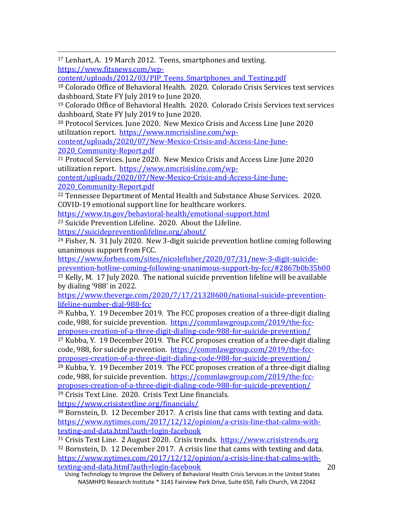<span id="page-20-0"></span> 17 Lenhart, A. 19 March 2012. Teens, smartphones and texting. [https://www.fitsnews.com/wp-](https://www.fitsnews.com/wp-content/uploads/2012/03/PIP_Teens_Smartphones_and_Texting.pdf)

[content/uploads/2012/03/PIP\\_Teens\\_Smartphones\\_and\\_Texting.pdf](https://www.fitsnews.com/wp-content/uploads/2012/03/PIP_Teens_Smartphones_and_Texting.pdf)

<sup>18</sup> Colorado Office of Behavioral Health. 2020. Colorado Crisis Services text services dashboard, State FY July 2019 to June 2020.

<sup>19</sup> Colorado Office of Behavioral Health. 2020. Colorado Crisis Services text services dashboard, State FY July 2019 to June 2020.

<sup>20</sup> Protocol Services. June 2020. New Mexico Crisis and Access Line June 2020 utilization report. [https://www.nmcrisisline.com/wp-](https://www.nmcrisisline.com/wp-content/uploads/2020/07/New-Mexico-Crisis-and-Access-Line-June-2020_Community-Report.pdf)

[content/uploads/2020/07/New-Mexico-Crisis-and-Access-Line-June-](https://www.nmcrisisline.com/wp-content/uploads/2020/07/New-Mexico-Crisis-and-Access-Line-June-2020_Community-Report.pdf)

[2020\\_Community-Report.pdf](https://www.nmcrisisline.com/wp-content/uploads/2020/07/New-Mexico-Crisis-and-Access-Line-June-2020_Community-Report.pdf)

<sup>21</sup> Protocol Services. June 2020. New Mexico Crisis and Access Line June 2020 utilization report. [https://www.nmcrisisline.com/wp-](https://www.nmcrisisline.com/wp-content/uploads/2020/07/New-Mexico-Crisis-and-Access-Line-June-2020_Community-Report.pdf)

[content/uploads/2020/07/New-Mexico-Crisis-and-Access-Line-June-](https://www.nmcrisisline.com/wp-content/uploads/2020/07/New-Mexico-Crisis-and-Access-Line-June-2020_Community-Report.pdf)2020 Community-Report.pdf

<sup>22</sup> Tennessee Department of Mental Health and Substance Abuse Services. 2020. COVID-19 emotional support line for healthcare workers.

<https://www.tn.gov/behavioral-health/emotional-support.html>

<sup>23</sup> Suicide Prevention Lifeline. 2020. About the Lifeline. <https://suicidepreventionlifeline.org/about/>

<sup>24</sup> Fisher, N. 31 July 2020. New 3-digit suicide prevention hotline coming following unanimous support from FCC.

[https://www.forbes.com/sites/nicolefisher/2020/07/31/new-3-digit-suicide](https://www.forbes.com/sites/nicolefisher/2020/07/31/new-3-digit-suicide-prevention-hotline-coming-following-unanimous-support-by-fcc/#2867b0b35b00)[prevention-hotline-coming-following-unanimous-support-by-fcc/#2867b0b35b00](https://www.forbes.com/sites/nicolefisher/2020/07/31/new-3-digit-suicide-prevention-hotline-coming-following-unanimous-support-by-fcc/#2867b0b35b00) <sup>25</sup> Kelly, M. 17 July 2020. The national suicide prevention lifeline will be available

by dialing '988' in 2022.

[https://www.theverge.com/2020/7/17/21328600/national-suicide-prevention](https://www.theverge.com/2020/7/17/21328600/national-suicide-prevention-lifeline-number-dial-988-fcc)[lifeline-number-dial-988-fcc](https://www.theverge.com/2020/7/17/21328600/national-suicide-prevention-lifeline-number-dial-988-fcc)

<sup>26</sup> Kubba, Y. 19 December 2019. The FCC proposes creation of a three-digit dialing code, 988, for suicide prevention. [https://commlawgroup.com/2019/the-fcc](https://commlawgroup.com/2019/the-fcc-proposes-creation-of-a-three-digit-dialing-code-988-for-suicide-prevention/)[proposes-creation-of-a-three-digit-dialing-code-988-for-suicide-prevention/](https://commlawgroup.com/2019/the-fcc-proposes-creation-of-a-three-digit-dialing-code-988-for-suicide-prevention/)

 $27$  Kubba, Y. 19 December 2019. The FCC proposes creation of a three-digit dialing code, 988, for suicide prevention. [https://commlawgroup.com/2019/the-fcc](https://commlawgroup.com/2019/the-fcc-proposes-creation-of-a-three-digit-dialing-code-988-for-suicide-prevention/)[proposes-creation-of-a-three-digit-dialing-code-988-for-suicide-prevention/](https://commlawgroup.com/2019/the-fcc-proposes-creation-of-a-three-digit-dialing-code-988-for-suicide-prevention/)

<sup>28</sup> Kubba, Y. 19 December 2019. The FCC proposes creation of a three-digit dialing code, 988, for suicide prevention. [https://commlawgroup.com/2019/the-fcc](https://commlawgroup.com/2019/the-fcc-proposes-creation-of-a-three-digit-dialing-code-988-for-suicide-prevention/)[proposes-creation-of-a-three-digit-dialing-code-988-for-suicide-prevention/](https://commlawgroup.com/2019/the-fcc-proposes-creation-of-a-three-digit-dialing-code-988-for-suicide-prevention/) <sup>29</sup> Crisis Text Line. 2020. Crisis Text Line financials.

<https://www.crisistextline.org/financials/>

<sup>30</sup> Bornstein, D. 12 December 2017. A crisis line that cams with texting and data. [https://www.nytimes.com/2017/12/12/opinion/a-crisis-line-that-calms-with](https://www.nytimes.com/2017/12/12/opinion/a-crisis-line-that-calms-with-texting-and-data.html?auth=login-facebook)<u>[texting-and-data.html?auth=login-facebook](https://www.nytimes.com/2017/12/12/opinion/a-crisis-line-that-calms-with-texting-and-data.html?auth=login-facebook)</u><br><sup>31</sup> Crisis Text Line. 2 August 2020. Crisis trends. https://www.crisistrends.org

 $32$  Bornstein, D. 12 December 2017. A crisis line that cams with texting and data. [https://www.nytimes.com/2017/12/12/opinion/a-crisis-line-that-calms-with](https://www.nytimes.com/2017/12/12/opinion/a-crisis-line-that-calms-with-texting-and-data.html?auth=login-facebook)[texting-and-data.html?auth=login-facebook](https://www.nytimes.com/2017/12/12/opinion/a-crisis-line-that-calms-with-texting-and-data.html?auth=login-facebook)

Using Technology to Improve the Delivery of Behavioral Health Crisis Services in the United States NASMHPD Research Institute \* 3141 Fairview Park Drive, Suite 650, Falls Church, VA 22042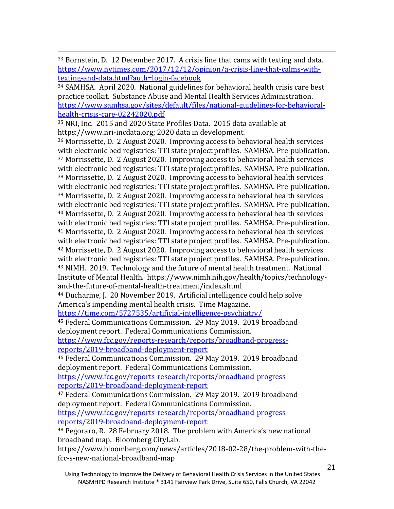<span id="page-21-0"></span> 33 Bornstein, D. 12 December 2017. A crisis line that cams with texting and data. [https://www.nytimes.com/2017/12/12/opinion/a-crisis-line-that-calms-with](https://www.nytimes.com/2017/12/12/opinion/a-crisis-line-that-calms-with-texting-and-data.html?auth=login-facebook)[texting-and-data.html?auth=login-facebook](https://www.nytimes.com/2017/12/12/opinion/a-crisis-line-that-calms-with-texting-and-data.html?auth=login-facebook)

<sup>34</sup> SAMHSA. April 2020. National guidelines for behavioral health crisis care best practice toolkit. Substance Abuse and Mental Health Services Administration. [https://www.samhsa.gov/sites/default/files/national-guidelines-for-behavioral](https://www.samhsa.gov/sites/default/files/national-guidelines-for-behavioral-health-crisis-care-02242020.pdf)[health-crisis-care-02242020.pdf](https://www.samhsa.gov/sites/default/files/national-guidelines-for-behavioral-health-crisis-care-02242020.pdf)

<sup>35</sup> NRI, Inc. 2015 and 2020 State Profiles Data. 2015 data available at https://www.nri-incdata.org; 2020 data in development.

<sup>36</sup> Morrissette, D. 2 August 2020. Improving access to behavioral health services with electronic bed registries: TTI state project profiles. SAMHSA. Pre-publication. <sup>37</sup> Morrissette, D. 2 August 2020. Improving access to behavioral health services with electronic bed registries: TTI state project profiles. SAMHSA. Pre-publication. <sup>38</sup> Morrissette, D. 2 August 2020. Improving access to behavioral health services with electronic bed registries: TTI state project profiles. SAMHSA. Pre-publication. <sup>39</sup> Morrissette, D. 2 August 2020. Improving access to behavioral health services with electronic bed registries: TTI state project profiles. SAMHSA. Pre-publication. <sup>40</sup> Morrissette, D. 2 August 2020. Improving access to behavioral health services with electronic bed registries: TTI state project profiles. SAMHSA. Pre-publication. <sup>41</sup> Morrissette, D. 2 August 2020. Improving access to behavioral health services with electronic bed registries: TTI state project profiles. SAMHSA. Pre-publication. <sup>42</sup> Morrissette, D. 2 August 2020. Improving access to behavioral health services with electronic bed registries: TTI state project profiles. SAMHSA. Pre-publication. <sup>43</sup> NIMH. 2019. Technology and the future of mental health treatment. National Institute of Mental Health. https://www.nimh.nih.gov/health/topics/technologyand-the-future-of-mental-health-treatment/index.shtml

<sup>44</sup> Ducharme, J. 20 November 2019. Artificial intelligence could help solve America's impending mental health crisis. Time Magazine.

<https://time.com/5727535/artificial-intelligence-psychiatry/>

<sup>45</sup> Federal Communications Commission. 29 May 2019. 2019 broadband deployment report. Federal Communications Commission.

[https://www.fcc.gov/reports-research/reports/broadband-progress](https://www.fcc.gov/reports-research/reports/broadband-progress-reports/2019-broadband-deployment-report)[reports/2019-broadband-deployment-report](https://www.fcc.gov/reports-research/reports/broadband-progress-reports/2019-broadband-deployment-report)

<sup>46</sup> Federal Communications Commission. 29 May 2019. 2019 broadband deployment report. Federal Communications Commission.

[https://www.fcc.gov/reports-research/reports/broadband-progress](https://www.fcc.gov/reports-research/reports/broadband-progress-reports/2019-broadband-deployment-report)[reports/2019-broadband-deployment-report](https://www.fcc.gov/reports-research/reports/broadband-progress-reports/2019-broadband-deployment-report)

<sup>47</sup> Federal Communications Commission. 29 May 2019. 2019 broadband deployment report. Federal Communications Commission. [https://www.fcc.gov/reports-research/reports/broadband-progress-](https://www.fcc.gov/reports-research/reports/broadband-progress-reports/2019-broadband-deployment-report)

[reports/2019-broadband-deployment-report](https://www.fcc.gov/reports-research/reports/broadband-progress-reports/2019-broadband-deployment-report)

<sup>48</sup> Pegoraro, R. 28 February 2018. The problem with America's new national broadband map. Bloomberg CityLab.

[https://www.bloomberg.com/news/articles/2018-02-28/the-problem-with-the](https://www.bloomberg.com/news/articles/2018-02-28/the-problem-with-the-fcc-s-new-national-broadband-map)fcc-s-new-national-broadband-map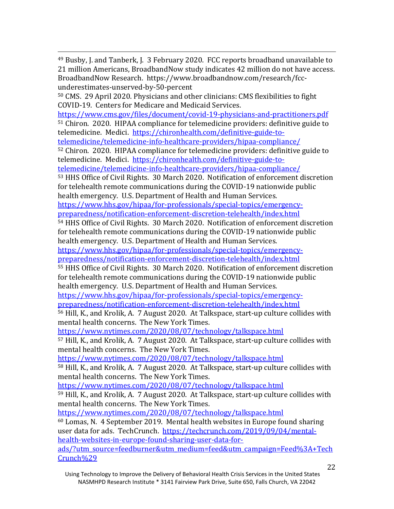<span id="page-22-0"></span> 49 Busby, J. and Tanberk, J. 3 February 2020. FCC reports broadband unavailable to 21 million Americans, BroadbandNow study indicates 42 million do not have access. BroadbandNow Research. https://www.broadbandnow.com/research/fccunderestimates-unserved-by-50-percent

<sup>50</sup> CMS. 29 April 2020. Physicians and other clinicians: CMS flexibilities to fight COVID-19. Centers for Medicare and Medicaid Services.

<https://www.cms.gov/files/document/covid-19-physicians-and-practitioners.pdf> <sup>51</sup> Chiron. 2020. HIPAA compliance for telemedicine providers: definitive guide to telemedicine. Medici. [https://chironhealth.com/definitive-guide-to-](https://chironhealth.com/definitive-guide-to-telemedicine/telemedicine-info-healthcare-providers/hipaa-compliance/)

[telemedicine/telemedicine-info-healthcare-providers/hipaa-compliance/](https://chironhealth.com/definitive-guide-to-telemedicine/telemedicine-info-healthcare-providers/hipaa-compliance/)

<sup>52</sup> Chiron. 2020. HIPAA compliance for telemedicine providers: definitive guide to telemedicine. Medici. [https://chironhealth.com/definitive-guide-to-](https://chironhealth.com/definitive-guide-to-telemedicine/telemedicine-info-healthcare-providers/hipaa-compliance/)

[telemedicine/telemedicine-info-healthcare-providers/hipaa-compliance/](https://chironhealth.com/definitive-guide-to-telemedicine/telemedicine-info-healthcare-providers/hipaa-compliance/)

<sup>53</sup> HHS Office of Civil Rights. 30 March 2020. Notification of enforcement discretion for telehealth remote communications during the COVID-19 nationwide public health emergency. U.S. Department of Health and Human Services.

[https://www.hhs.gov/hipaa/for-professionals/special-topics/emergency](https://www.hhs.gov/hipaa/for-professionals/special-topics/emergency-preparedness/notification-enforcement-discretion-telehealth/index.html)[preparedness/notification-enforcement-discretion-telehealth/index.html](https://www.hhs.gov/hipaa/for-professionals/special-topics/emergency-preparedness/notification-enforcement-discretion-telehealth/index.html)

<sup>54</sup> HHS Office of Civil Rights. 30 March 2020. Notification of enforcement discretion for telehealth remote communications during the COVID-19 nationwide public health emergency. U.S. Department of Health and Human Services.

[https://www.hhs.gov/hipaa/for-professionals/special-topics/emergency-](https://www.hhs.gov/hipaa/for-professionals/special-topics/emergency-preparedness/notification-enforcement-discretion-telehealth/index.html)

[preparedness/notification-enforcement-discretion-telehealth/index.html](https://www.hhs.gov/hipaa/for-professionals/special-topics/emergency-preparedness/notification-enforcement-discretion-telehealth/index.html)

<sup>55</sup> HHS Office of Civil Rights. 30 March 2020. Notification of enforcement discretion for telehealth remote communications during the COVID-19 nationwide public health emergency. U.S. Department of Health and Human Services.

[https://www.hhs.gov/hipaa/for-professionals/special-topics/emergency](https://www.hhs.gov/hipaa/for-professionals/special-topics/emergency-preparedness/notification-enforcement-discretion-telehealth/index.html)[preparedness/notification-enforcement-discretion-telehealth/index.html](https://www.hhs.gov/hipaa/for-professionals/special-topics/emergency-preparedness/notification-enforcement-discretion-telehealth/index.html)

<sup>56</sup> Hill, K., and Krolik, A. 7 August 2020. At Talkspace, start-up culture collides with mental health concerns. The New York Times.

<https://www.nytimes.com/2020/08/07/technology/talkspace.html>

<sup>57</sup> Hill, K., and Krolik, A. 7 August 2020. At Talkspace, start-up culture collides with mental health concerns. The New York Times.

<https://www.nytimes.com/2020/08/07/technology/talkspace.html>

<sup>58</sup> Hill, K., and Krolik, A. 7 August 2020. At Talkspace, start-up culture collides with mental health concerns. The New York Times.

<https://www.nytimes.com/2020/08/07/technology/talkspace.html>

<sup>59</sup> Hill, K., and Krolik, A. 7 August 2020. At Talkspace, start-up culture collides with mental health concerns. The New York Times.

<https://www.nytimes.com/2020/08/07/technology/talkspace.html>  $60$  Lomas, N. 4 September 2019. Mental health websites in Europe found sharing user data for ads. TechCrunch. [https://techcrunch.com/2019/09/04/mental-](https://techcrunch.com/2019/09/04/mental-health-websites-in-europe-found-sharing-user-data-for-ads/?utm_source=feedburner&utm_medium=feed&utm_campaign=Feed%3A+TechCrunch%29)

[health-websites-in-europe-found-sharing-user-data-for-](https://techcrunch.com/2019/09/04/mental-health-websites-in-europe-found-sharing-user-data-for-ads/?utm_source=feedburner&utm_medium=feed&utm_campaign=Feed%3A+TechCrunch%29)

[ads/?utm\\_source=feedburner&utm\\_medium=feed&utm\\_campaign=Feed%3A+Tech](https://techcrunch.com/2019/09/04/mental-health-websites-in-europe-found-sharing-user-data-for-ads/?utm_source=feedburner&utm_medium=feed&utm_campaign=Feed%3A+TechCrunch%29) [Crunch%29](https://techcrunch.com/2019/09/04/mental-health-websites-in-europe-found-sharing-user-data-for-ads/?utm_source=feedburner&utm_medium=feed&utm_campaign=Feed%3A+TechCrunch%29)